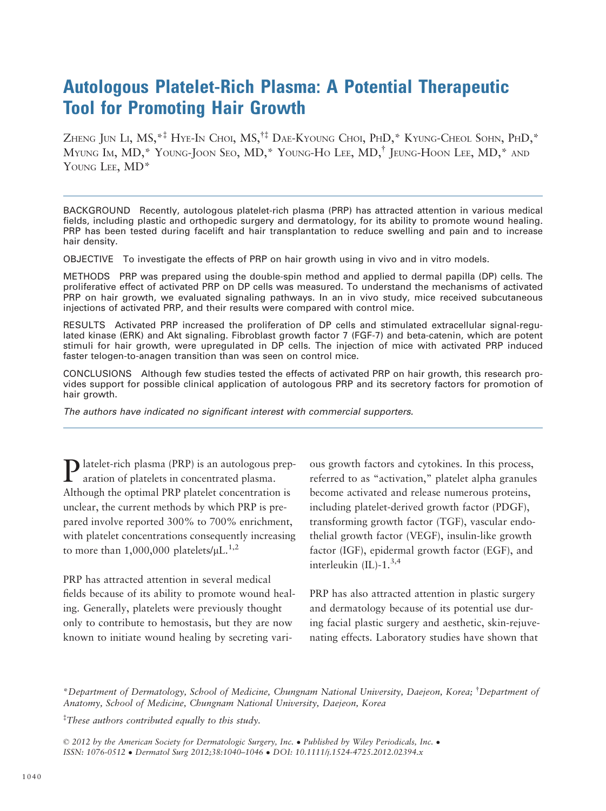# Autologous Platelet-Rich Plasma: A Potential Therapeutic Tool for Promoting Hair Growth

ZHENG JUN LI, MS,\*‡ HYE-IN CHOI, MS,†‡ DAE-KYOUNG CHOI, PHD,\* KYUNG-CHEOL SOHN, PHD,\* MYUNG IM, MD,\* YOUNG-JOON SEO, MD,\* YOUNG-HO LEE, MD,† JEUNG-HOON LEE, MD,\* AND YOUNG LEE, MD\*

BACKGROUND Recently, autologous platelet-rich plasma (PRP) has attracted attention in various medical fields, including plastic and orthopedic surgery and dermatology, for its ability to promote wound healing. PRP has been tested during facelift and hair transplantation to reduce swelling and pain and to increase hair density.

OBJECTIVE To investigate the effects of PRP on hair growth using in vivo and in vitro models.

METHODS PRP was prepared using the double-spin method and applied to dermal papilla (DP) cells. The proliferative effect of activated PRP on DP cells was measured. To understand the mechanisms of activated PRP on hair growth, we evaluated signaling pathways. In an in vivo study, mice received subcutaneous injections of activated PRP, and their results were compared with control mice.

RESULTS Activated PRP increased the proliferation of DP cells and stimulated extracellular signal-regulated kinase (ERK) and Akt signaling. Fibroblast growth factor 7 (FGF-7) and beta-catenin, which are potent stimuli for hair growth, were upregulated in DP cells. The injection of mice with activated PRP induced faster telogen-to-anagen transition than was seen on control mice.

CONCLUSIONS Although few studies tested the effects of activated PRP on hair growth, this research provides support for possible clinical application of autologous PRP and its secretory factors for promotion of hair growth.

The authors have indicated no significant interest with commercial supporters.

Platelet-rich plasma (PRP) is an autologous prep- $\Gamma$  aration of platelets in concentrated plasma. Although the optimal PRP platelet concentration is unclear, the current methods by which PRP is prepared involve reported 300% to 700% enrichment, with platelet concentrations consequently increasing to more than  $1,000,000$  platelets/ $\mu$ L.<sup>1,2</sup>

PRP has attracted attention in several medical fields because of its ability to promote wound healing. Generally, platelets were previously thought only to contribute to hemostasis, but they are now known to initiate wound healing by secreting various growth factors and cytokines. In this process, referred to as "activation," platelet alpha granules become activated and release numerous proteins, including platelet-derived growth factor (PDGF), transforming growth factor (TGF), vascular endothelial growth factor (VEGF), insulin-like growth factor (IGF), epidermal growth factor (EGF), and interleukin  $(IL)$ -1.<sup>3,4</sup>

PRP has also attracted attention in plastic surgery and dermatology because of its potential use during facial plastic surgery and aesthetic, skin-rejuvenating effects. Laboratory studies have shown that

\*Department of Dermatology, School of Medicine, Chungnam National University, Daejeon, Korea; † Department of Anatomy, School of Medicine, Chungnam National University, Daejeon, Korea

‡ These authors contributed equally to this study.

© 2012 by the American Society for Dermatologic Surgery, Inc. . Published by Wiley Periodicals, Inc. . ISSN: 1076-0512 . Dermatol Surg 2012;38:1040-1046 . DOI: 10.1111/j.1524-4725.2012.02394.x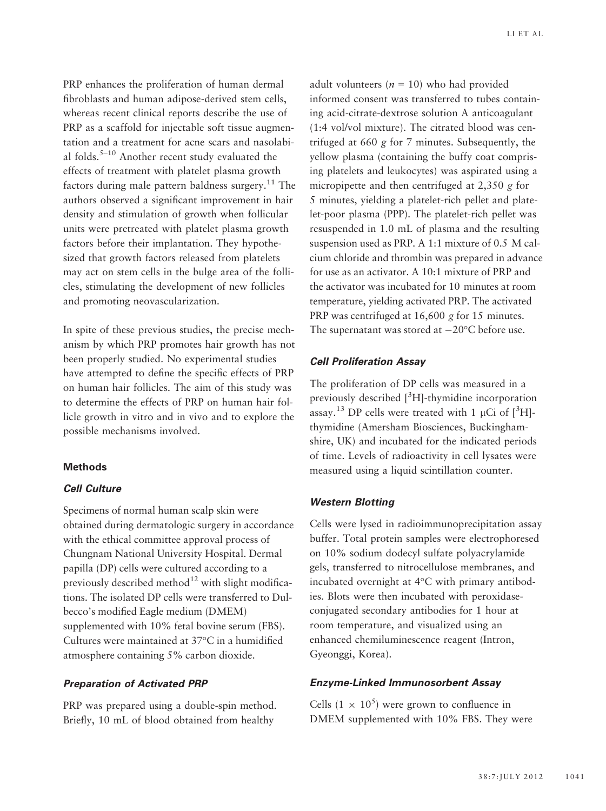PRP enhances the proliferation of human dermal fibroblasts and human adipose-derived stem cells, whereas recent clinical reports describe the use of PRP as a scaffold for injectable soft tissue augmentation and a treatment for acne scars and nasolabial folds.<sup>5-10</sup> Another recent study evaluated the effects of treatment with platelet plasma growth factors during male pattern baldness surgery.<sup>11</sup> The authors observed a significant improvement in hair density and stimulation of growth when follicular units were pretreated with platelet plasma growth factors before their implantation. They hypothesized that growth factors released from platelets may act on stem cells in the bulge area of the follicles, stimulating the development of new follicles and promoting neovascularization.

In spite of these previous studies, the precise mechanism by which PRP promotes hair growth has not been properly studied. No experimental studies have attempted to define the specific effects of PRP on human hair follicles. The aim of this study was to determine the effects of PRP on human hair follicle growth in vitro and in vivo and to explore the possible mechanisms involved.

## Methods

## Cell Culture

Specimens of normal human scalp skin were obtained during dermatologic surgery in accordance with the ethical committee approval process of Chungnam National University Hospital. Dermal papilla (DP) cells were cultured according to a previously described method $12$  with slight modifications. The isolated DP cells were transferred to Dulbecco's modified Eagle medium (DMEM) supplemented with 10% fetal bovine serum (FBS). Cultures were maintained at 37°C in a humidified atmosphere containing 5% carbon dioxide.

## Preparation of Activated PRP

PRP was prepared using a double-spin method. Briefly, 10 mL of blood obtained from healthy

adult volunteers ( $n = 10$ ) who had provided informed consent was transferred to tubes containing acid-citrate-dextrose solution A anticoagulant (1:4 vol/vol mixture). The citrated blood was centrifuged at 660 g for 7 minutes. Subsequently, the yellow plasma (containing the buffy coat comprising platelets and leukocytes) was aspirated using a micropipette and then centrifuged at 2,350 g for 5 minutes, yielding a platelet-rich pellet and platelet-poor plasma (PPP). The platelet-rich pellet was resuspended in 1.0 mL of plasma and the resulting suspension used as PRP. A 1:1 mixture of 0.5 M calcium chloride and thrombin was prepared in advance for use as an activator. A 10:1 mixture of PRP and the activator was incubated for 10 minutes at room temperature, yielding activated PRP. The activated PRP was centrifuged at 16,600 g for 15 minutes. The supernatant was stored at  $-20^{\circ}$ C before use.

#### Cell Proliferation Assay

The proliferation of DP cells was measured in a previously described  $[^{3}H]$ -thymidine incorporation assay.<sup>13</sup> DP cells were treated with 1  $\mu$ Ci of [<sup>3</sup>H]thymidine (Amersham Biosciences, Buckinghamshire, UK) and incubated for the indicated periods of time. Levels of radioactivity in cell lysates were measured using a liquid scintillation counter.

#### Western Blotting

Cells were lysed in radioimmunoprecipitation assay buffer. Total protein samples were electrophoresed on 10% sodium dodecyl sulfate polyacrylamide gels, transferred to nitrocellulose membranes, and incubated overnight at 4°C with primary antibodies. Blots were then incubated with peroxidaseconjugated secondary antibodies for 1 hour at room temperature, and visualized using an enhanced chemiluminescence reagent (Intron, Gyeonggi, Korea).

## Enzyme-Linked Immunosorbent Assay

Cells  $(1 \times 10^5)$  were grown to confluence in DMEM supplemented with 10% FBS. They were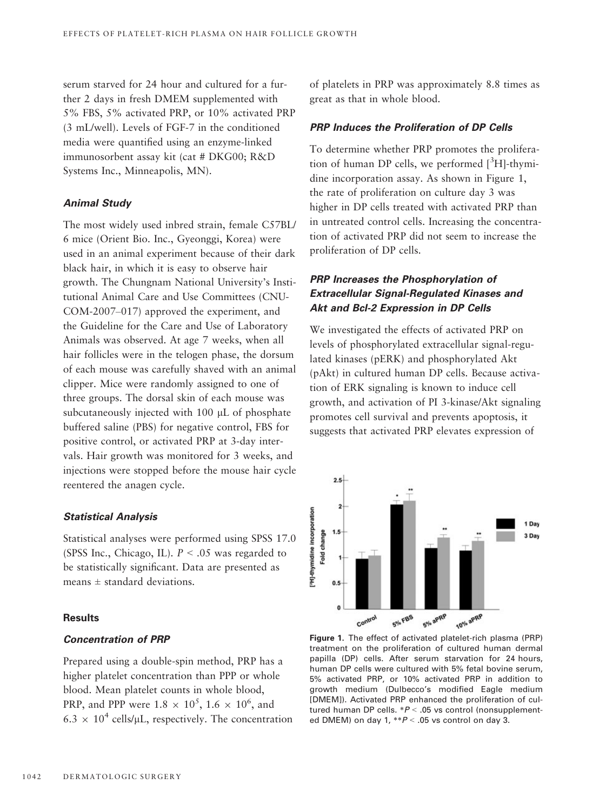serum starved for 24 hour and cultured for a further 2 days in fresh DMEM supplemented with 5% FBS, 5% activated PRP, or 10% activated PRP (3 mL/well). Levels of FGF-7 in the conditioned media were quantified using an enzyme-linked immunosorbent assay kit (cat # DKG00; R&D Systems Inc., Minneapolis, MN).

#### Animal Study

The most widely used inbred strain, female C57BL/ 6 mice (Orient Bio. Inc., Gyeonggi, Korea) were used in an animal experiment because of their dark black hair, in which it is easy to observe hair growth. The Chungnam National University's Institutional Animal Care and Use Committees (CNU-COM-2007–017) approved the experiment, and the Guideline for the Care and Use of Laboratory Animals was observed. At age 7 weeks, when all hair follicles were in the telogen phase, the dorsum of each mouse was carefully shaved with an animal clipper. Mice were randomly assigned to one of three groups. The dorsal skin of each mouse was subcutaneously injected with  $100 \mu L$  of phosphate buffered saline (PBS) for negative control, FBS for positive control, or activated PRP at 3-day intervals. Hair growth was monitored for 3 weeks, and injections were stopped before the mouse hair cycle reentered the anagen cycle.

#### Statistical Analysis

Statistical analyses were performed using SPSS 17.0 (SPSS Inc., Chicago, IL).  $P < .05$  was regarded to be statistically significant. Data are presented as means  $\pm$  standard deviations.

## **Results**

## Concentration of PRP

Prepared using a double-spin method, PRP has a higher platelet concentration than PPP or whole blood. Mean platelet counts in whole blood, PRP, and PPP were  $1.8 \times 10^5$ ,  $1.6 \times 10^6$ , and  $6.3 \times 10^4$  cells/µL, respectively. The concentration of platelets in PRP was approximately 8.8 times as great as that in whole blood.

## PRP Induces the Proliferation of DP Cells

To determine whether PRP promotes the proliferation of human DP cells, we performed  $[{}^{3}H]$ -thymidine incorporation assay. As shown in Figure 1, the rate of proliferation on culture day 3 was higher in DP cells treated with activated PRP than in untreated control cells. Increasing the concentration of activated PRP did not seem to increase the proliferation of DP cells.

# PRP Increases the Phosphorylation of Extracellular Signal-Regulated Kinases and Akt and Bcl-2 Expression in DP Cells

We investigated the effects of activated PRP on levels of phosphorylated extracellular signal-regulated kinases (pERK) and phosphorylated Akt (pAkt) in cultured human DP cells. Because activation of ERK signaling is known to induce cell growth, and activation of PI 3-kinase/Akt signaling promotes cell survival and prevents apoptosis, it suggests that activated PRP elevates expression of



Figure 1. The effect of activated platelet-rich plasma (PRP) treatment on the proliferation of cultured human dermal papilla (DP) cells. After serum starvation for 24 hours, human DP cells were cultured with 5% fetal bovine serum, 5% activated PRP, or 10% activated PRP in addition to growth medium (Dulbecco's modified Eagle medium [DMEM]). Activated PRP enhanced the proliferation of cultured human DP cells.  $*P < .05$  vs control (nonsupplemented DMEM) on day 1,  $*P < .05$  vs control on day 3.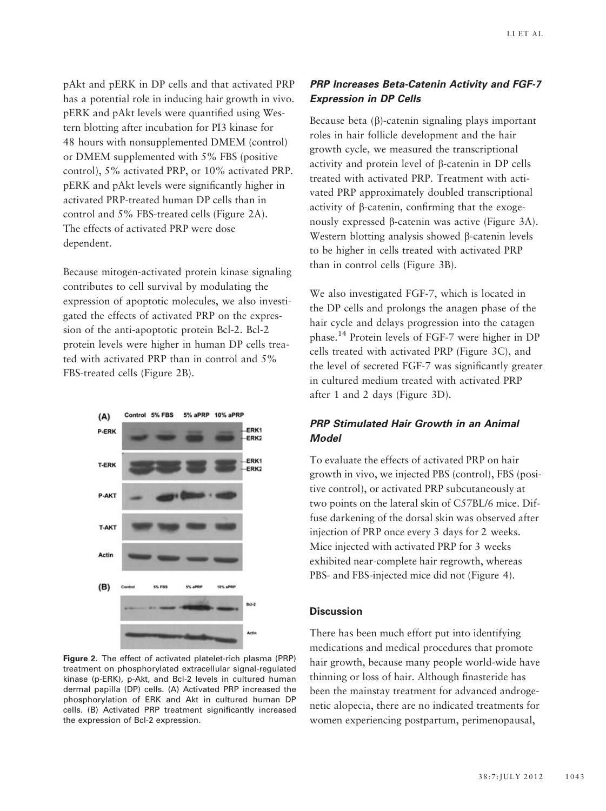LI ET AL

pAkt and pERK in DP cells and that activated PRP has a potential role in inducing hair growth in vivo. pERK and pAkt levels were quantified using Western blotting after incubation for PI3 kinase for 48 hours with nonsupplemented DMEM (control) or DMEM supplemented with 5% FBS (positive control), 5% activated PRP, or 10% activated PRP. pERK and pAkt levels were significantly higher in activated PRP-treated human DP cells than in control and 5% FBS-treated cells (Figure 2A). The effects of activated PRP were dose dependent.

Because mitogen-activated protein kinase signaling contributes to cell survival by modulating the expression of apoptotic molecules, we also investigated the effects of activated PRP on the expression of the anti-apoptotic protein Bcl-2. Bcl-2 protein levels were higher in human DP cells treated with activated PRP than in control and 5% FBS-treated cells (Figure 2B).



Figure 2. The effect of activated platelet-rich plasma (PRP) treatment on phosphorylated extracellular signal-regulated kinase (p-ERK), p-Akt, and Bcl-2 levels in cultured human dermal papilla (DP) cells. (A) Activated PRP increased the phosphorylation of ERK and Akt in cultured human DP cells. (B) Activated PRP treatment significantly increased the expression of Bcl-2 expression.

# PRP Increases Beta-Catenin Activity and FGF-7 Expression in DP Cells

Because beta  $(\beta)$ -catenin signaling plays important roles in hair follicle development and the hair growth cycle, we measured the transcriptional activity and protein level of b-catenin in DP cells treated with activated PRP. Treatment with activated PRP approximately doubled transcriptional activity of  $\beta$ -catenin, confirming that the exogenously expressed b-catenin was active (Figure 3A). Western blotting analysis showed  $\beta$ -catenin levels to be higher in cells treated with activated PRP than in control cells (Figure 3B).

We also investigated FGF-7, which is located in the DP cells and prolongs the anagen phase of the hair cycle and delays progression into the catagen phase.<sup>14</sup> Protein levels of FGF-7 were higher in DP cells treated with activated PRP (Figure 3C), and the level of secreted FGF-7 was significantly greater in cultured medium treated with activated PRP after 1 and 2 days (Figure 3D).

# PRP Stimulated Hair Growth in an Animal Model

To evaluate the effects of activated PRP on hair growth in vivo, we injected PBS (control), FBS (positive control), or activated PRP subcutaneously at two points on the lateral skin of C57BL/6 mice. Diffuse darkening of the dorsal skin was observed after injection of PRP once every 3 days for 2 weeks. Mice injected with activated PRP for 3 weeks exhibited near-complete hair regrowth, whereas PBS- and FBS-injected mice did not (Figure 4).

# **Discussion**

There has been much effort put into identifying medications and medical procedures that promote hair growth, because many people world-wide have thinning or loss of hair. Although finasteride has been the mainstay treatment for advanced androgenetic alopecia, there are no indicated treatments for women experiencing postpartum, perimenopausal,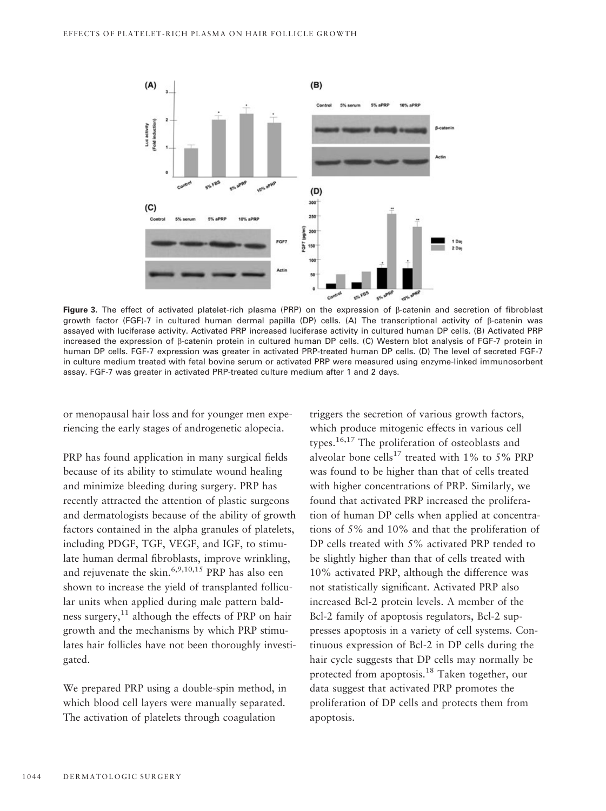

Figure 3. The effect of activated platelet-rich plasma (PRP) on the expression of  $\beta$ -catenin and secretion of fibroblast growth factor (FGF)-7 in cultured human dermal papilla (DP) cells. (A) The transcriptional activity of  $\beta$ -catenin was assayed with luciferase activity. Activated PRP increased luciferase activity in cultured human DP cells. (B) Activated PRP increased the expression of b-catenin protein in cultured human DP cells. (C) Western blot analysis of FGF-7 protein in human DP cells. FGF-7 expression was greater in activated PRP-treated human DP cells. (D) The level of secreted FGF-7 in culture medium treated with fetal bovine serum or activated PRP were measured using enzyme-linked immunosorbent assay. FGF-7 was greater in activated PRP-treated culture medium after 1 and 2 days.

or menopausal hair loss and for younger men experiencing the early stages of androgenetic alopecia.

PRP has found application in many surgical fields because of its ability to stimulate wound healing and minimize bleeding during surgery. PRP has recently attracted the attention of plastic surgeons and dermatologists because of the ability of growth factors contained in the alpha granules of platelets, including PDGF, TGF, VEGF, and IGF, to stimulate human dermal fibroblasts, improve wrinkling, and rejuvenate the skin.<sup>6,9,10,15</sup> PRP has also een shown to increase the yield of transplanted follicular units when applied during male pattern baldness surgery,<sup>11</sup> although the effects of PRP on hair growth and the mechanisms by which PRP stimulates hair follicles have not been thoroughly investigated.

We prepared PRP using a double-spin method, in which blood cell layers were manually separated. The activation of platelets through coagulation

triggers the secretion of various growth factors, which produce mitogenic effects in various cell types.16,17 The proliferation of osteoblasts and alveolar bone cells<sup>17</sup> treated with 1% to 5% PRP was found to be higher than that of cells treated with higher concentrations of PRP. Similarly, we found that activated PRP increased the proliferation of human DP cells when applied at concentrations of 5% and 10% and that the proliferation of DP cells treated with 5% activated PRP tended to be slightly higher than that of cells treated with 10% activated PRP, although the difference was not statistically significant. Activated PRP also increased Bcl-2 protein levels. A member of the Bcl-2 family of apoptosis regulators, Bcl-2 suppresses apoptosis in a variety of cell systems. Continuous expression of Bcl-2 in DP cells during the hair cycle suggests that DP cells may normally be protected from apoptosis.<sup>18</sup> Taken together, our data suggest that activated PRP promotes the proliferation of DP cells and protects them from apoptosis.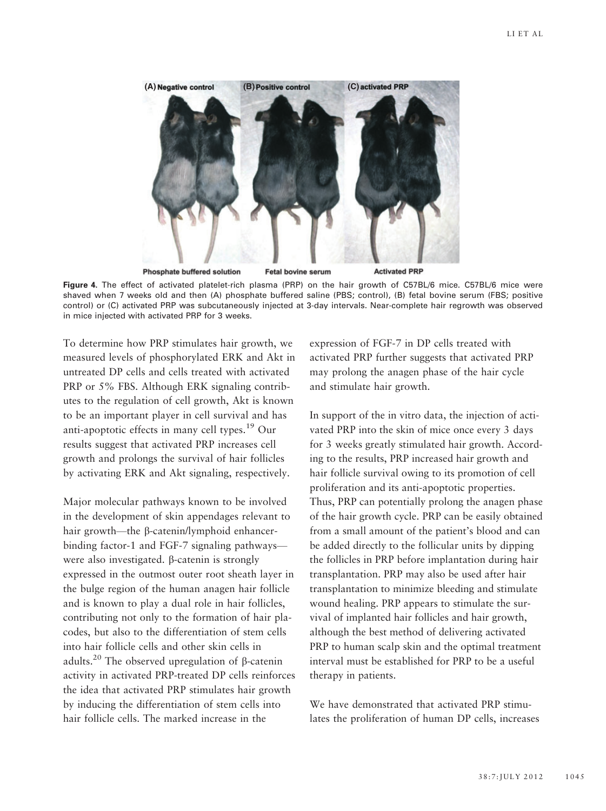

Figure 4. The effect of activated platelet-rich plasma (PRP) on the hair growth of C57BL/6 mice. C57BL/6 mice were shaved when 7 weeks old and then (A) phosphate buffered saline (PBS; control), (B) fetal bovine serum (FBS; positive control) or (C) activated PRP was subcutaneously injected at 3-day intervals. Near-complete hair regrowth was observed in mice injected with activated PRP for 3 weeks.

To determine how PRP stimulates hair growth, we measured levels of phosphorylated ERK and Akt in untreated DP cells and cells treated with activated PRP or 5% FBS. Although ERK signaling contributes to the regulation of cell growth, Akt is known to be an important player in cell survival and has anti-apoptotic effects in many cell types.<sup>19</sup> Our results suggest that activated PRP increases cell growth and prolongs the survival of hair follicles by activating ERK and Akt signaling, respectively.

Major molecular pathways known to be involved in the development of skin appendages relevant to hair growth—the β-catenin/lymphoid enhancerbinding factor-1 and FGF-7 signaling pathways were also investigated.  $\beta$ -catenin is strongly expressed in the outmost outer root sheath layer in the bulge region of the human anagen hair follicle and is known to play a dual role in hair follicles, contributing not only to the formation of hair placodes, but also to the differentiation of stem cells into hair follicle cells and other skin cells in adults.<sup>20</sup> The observed upregulation of  $\beta$ -catenin activity in activated PRP-treated DP cells reinforces the idea that activated PRP stimulates hair growth by inducing the differentiation of stem cells into hair follicle cells. The marked increase in the

expression of FGF-7 in DP cells treated with activated PRP further suggests that activated PRP may prolong the anagen phase of the hair cycle and stimulate hair growth.

In support of the in vitro data, the injection of activated PRP into the skin of mice once every 3 days for 3 weeks greatly stimulated hair growth. According to the results, PRP increased hair growth and hair follicle survival owing to its promotion of cell proliferation and its anti-apoptotic properties. Thus, PRP can potentially prolong the anagen phase of the hair growth cycle. PRP can be easily obtained from a small amount of the patient's blood and can be added directly to the follicular units by dipping the follicles in PRP before implantation during hair transplantation. PRP may also be used after hair transplantation to minimize bleeding and stimulate wound healing. PRP appears to stimulate the survival of implanted hair follicles and hair growth, although the best method of delivering activated PRP to human scalp skin and the optimal treatment interval must be established for PRP to be a useful therapy in patients.

We have demonstrated that activated PRP stimulates the proliferation of human DP cells, increases